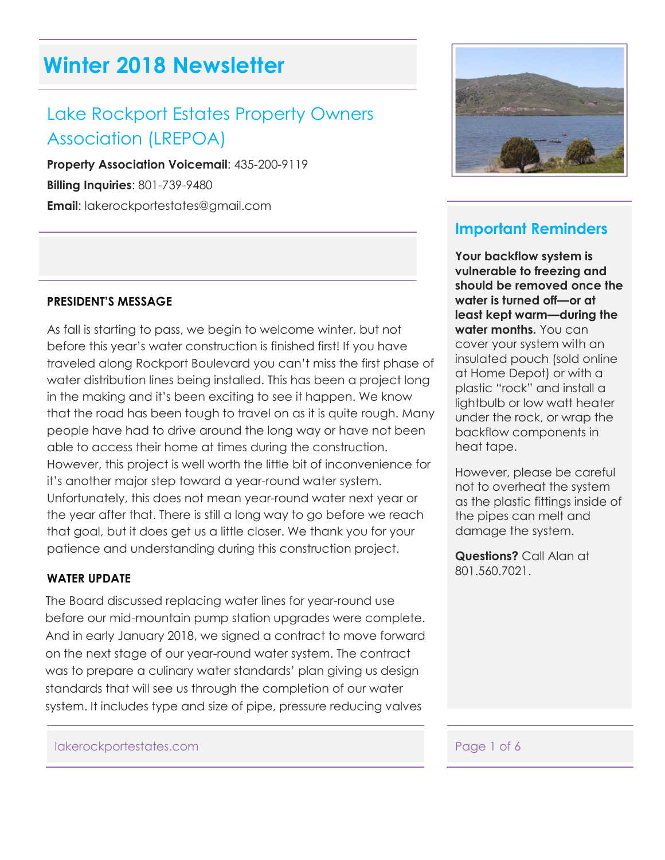# **Winter 2018 Newsletter**

# Lake Rockport Estates Property Owners Association (LREPOA)

**Property Association Voicemail**: 435-200-9119 **Billing Inquiries**: 801-739-9480 **Email**: lakerockportestates@gmail.com

#### **PRESIDENT'S MESSAGE**

As fall is starting to pass, we begin to welcome winter, but not before this year's water construction is finished first! If you have traveled along Rockport Boulevard you can't miss the first phase of water distribution lines being installed. This has been a project long in the making and it's been exciting to see it happen. We know that the road has been tough to travel on as it is quite rough. Many people have had to drive around the long way or have not been able to access their home at times during the construction. However, this project is well worth the little bit of inconvenience for it's another major step toward a year-round water system. Unfortunately, this does not mean year-round water next year or the year after that. There is still a long way to go before we reach that goal, but it does get us a little closer. We thank you for your patience and understanding during this construction project.

#### **WATER UPDATE**

The Board discussed replacing water lines for year-round use before our mid-mountain pump station upgrades were complete. And in early January 2018, we signed a contract to move forward on the next stage of our year-round water system. The contract was to prepare a culinary water standards' plan giving us design standards that will see us through the completion of our water system. It includes type and size of pipe, pressure reducing valves



## **Important Reminders**

**Your backflow system is vulnerable to freezing and should be removed once the water is turned off—or at least kept warm—during the water months.** You can cover your system with an insulated pouch (sold online at Home Depot) or with a plastic "rock" and install a lightbulb or low watt heater under the rock, or wrap the backflow components in heat tape.

However, please be careful not to overheat the system as the plastic fittings inside of the pipes can melt and damage the system.

**Questions?** Call Alan at 801.560.7021.

#### lakerockportestates.com expansion of  $\sim$  Page 1 of 6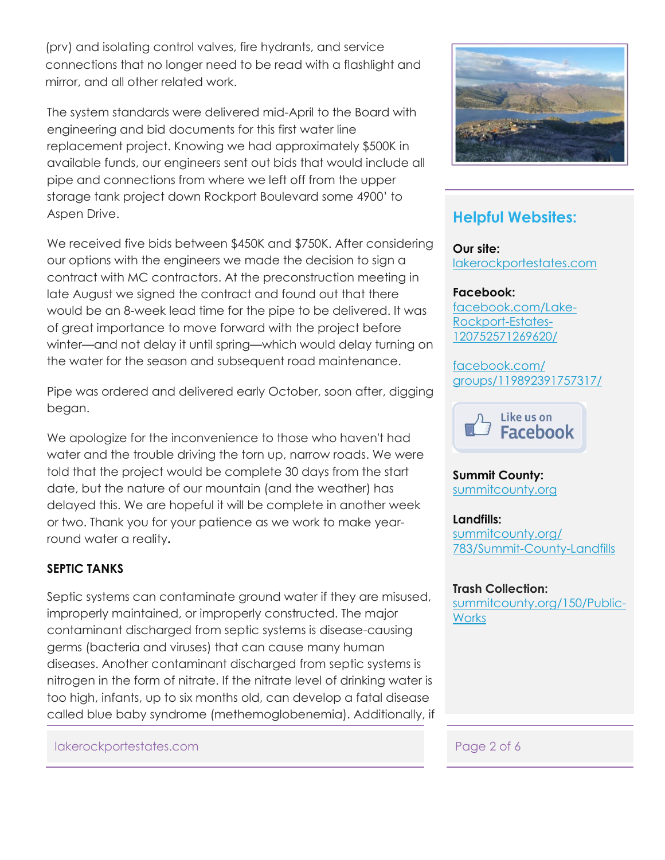(prv) and isolating control valves, fire hydrants, and service connections that no longer need to be read with a flashlight and mirror, and all other related work.

The system standards were delivered mid-April to the Board with engineering and bid documents for this first water line replacement project. Knowing we had approximately \$500K in available funds, our engineers sent out bids that would include all pipe and connections from where we left off from the upper storage tank project down Rockport Boulevard some 4900' to Aspen Drive.

We received five bids between \$450K and \$750K. After considering our options with the engineers we made the decision to sign a contract with MC contractors. At the preconstruction meeting in late August we signed the contract and found out that there would be an 8-week lead time for the pipe to be delivered. It was of great importance to move forward with the project before winter—and not delay it until spring—which would delay turning on the water for the season and subsequent road maintenance.

Pipe was ordered and delivered early October, soon after, digging began.

We apologize for the inconvenience to those who haven't had water and the trouble driving the torn up, narrow roads. We were told that the project would be complete 30 days from the start date, but the nature of our mountain (and the weather) has delayed this. We are hopeful it will be complete in another week or two. Thank you for your patience as we work to make yearround water a reality**.**

#### **SEPTIC TANKS**

Septic systems can contaminate ground water if they are misused, improperly maintained, or improperly constructed. The major contaminant discharged from septic systems is disease-causing germs (bacteria and viruses) that can cause many human diseases. Another contaminant discharged from septic systems is nitrogen in the form of nitrate. If the nitrate level of drinking water is too high, infants, up to six months old, can develop a fatal disease called blue baby syndrome (methemoglobenemia). Additionally, if

#### lakerockportestates.com Page 2 of 6



## **Helpful Websites:**

**Our site:** [lakerockportestates.com](http://www.lakerockportestates.com/id19.html)

#### **Facebook:**

[facebook.com/Lake-](https://www.facebook.com/Lake-Rockport-Estates-120752571269620/)[Rockport-Estates-](https://www.facebook.com/Lake-Rockport-Estates-120752571269620/)[120752571269620/](https://www.facebook.com/Lake-Rockport-Estates-120752571269620/)

[facebook.com/](https://www.facebook.com/groups/119892391757317/) [groups/119892391757317/](https://www.facebook.com/groups/119892391757317/)



**Summit County:** [summitcounty.org](http://summitcounty.org/)

**Landfills:** [summitcounty.org/](http://summitcounty.org/783/Summit-County-Landfills) [783/Summit-County-Landfills](http://summitcounty.org/783/Summit-County-Landfills)

#### **Trash Collection:**

[summitcounty.org/150/Public-](http://summitcounty.org/150/Public-Works)**[Works](http://summitcounty.org/150/Public-Works)**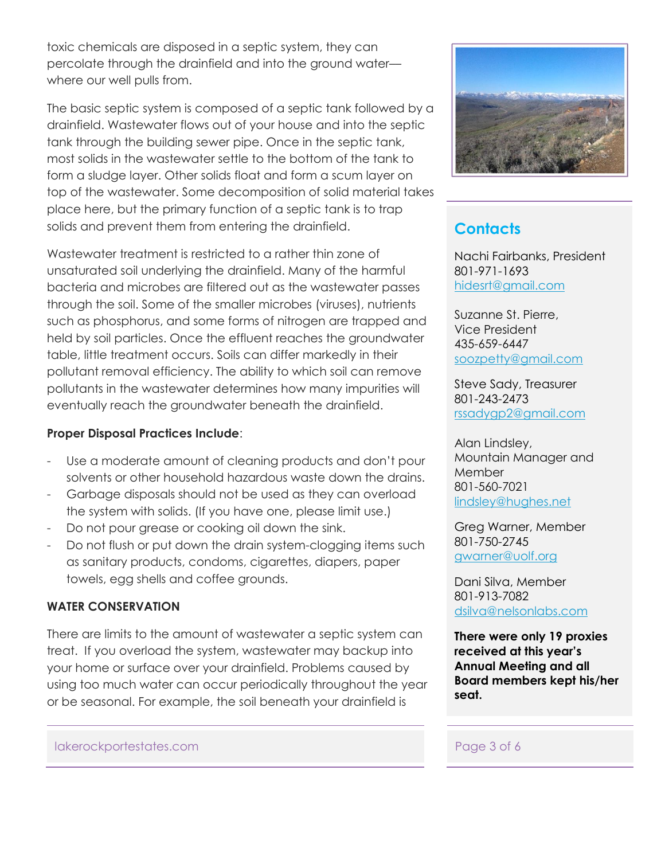toxic chemicals are disposed in a septic system, they can percolate through the drainfield and into the ground water–– where our well pulls from.

The basic septic system is composed of a septic tank followed by a drainfield. Wastewater flows out of your house and into the septic tank through the building sewer pipe. Once in the septic tank, most solids in the wastewater settle to the bottom of the tank to form a sludge layer. Other solids float and form a scum layer on top of the wastewater. Some decomposition of solid material takes place here, but the primary function of a septic tank is to trap solids and prevent them from entering the drainfield.

Wastewater treatment is restricted to a rather thin zone of unsaturated soil underlying the drainfield. Many of the harmful bacteria and microbes are filtered out as the wastewater passes through the soil. Some of the smaller microbes (viruses), nutrients such as phosphorus, and some forms of nitrogen are trapped and held by soil particles. Once the effluent reaches the groundwater table, little treatment occurs. Soils can differ markedly in their pollutant removal efficiency. The ability to which soil can remove pollutants in the wastewater determines how many impurities will eventually reach the groundwater beneath the drainfield.

#### **Proper Disposal Practices Include**:

- Use a moderate amount of cleaning products and don't pour solvents or other household hazardous waste down the drains.
- Garbage disposals should not be used as they can overload the system with solids. (If you have one, please limit use.)
- Do not pour grease or cooking oil down the sink.
- Do not flush or put down the drain system-clogging items such as sanitary products, condoms, cigarettes, diapers, paper towels, egg shells and coffee grounds.

#### **WATER CONSERVATION**

There are limits to the amount of wastewater a septic system can treat. If you overload the system, wastewater may backup into your home or surface over your drainfield. Problems caused by using too much water can occur periodically throughout the year or be seasonal. For example, the soil beneath your drainfield is

#### lakerockportestates.com expansion of the page 3 of 6



# **Contacts**

Nachi Fairbanks, President 801-971-1693 [hidesrt@gmail.com](mailto:hidesrt@gmail.com)

Suzanne St. Pierre, Vice President 435-659-6447 [soozpetty@gmail.com](mailto:soozpetty@gmail.com)

Steve Sady, Treasurer 801-243-2473 [rssadygp2@gmail.com](mailto:rssadygp2@gmail.com)

Alan Lindsley, Mountain Manager and Member 801-560-7021 [lindsley@hughes.net](mailto:lindsley@hughes.net)

Greg Warner, Member 801-750-2745 gwarner@uolf.org

Dani Silva, Member 801-913-7082 [dsilva@nelsonlabs.com](mailto:dsilva@nelsonlabs.com)

**There were only 19 proxies received at this year's Annual Meeting and all Board members kept his/her seat.**

Į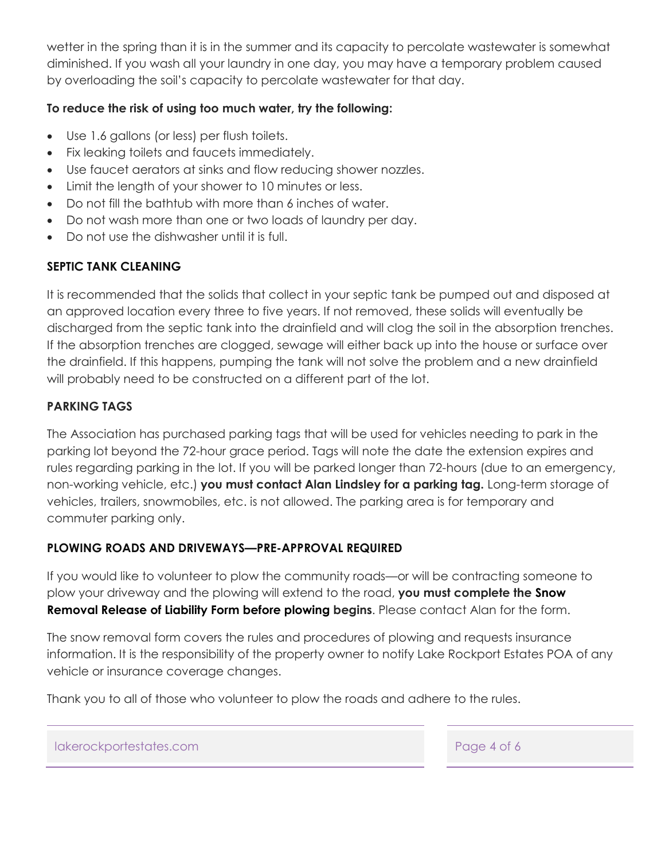wetter in the spring than it is in the summer and its capacity to percolate wastewater is somewhat diminished. If you wash all your laundry in one day, you may have a temporary problem caused by overloading the soil's capacity to percolate wastewater for that day.

#### **To reduce the risk of using too much water, try the following:**

- Use 1.6 gallons (or less) per flush toilets.
- Fix leaking toilets and faucets immediately.
- Use faucet aerators at sinks and flow reducing shower nozzles.
- Limit the length of your shower to 10 minutes or less.
- Do not fill the bathtub with more than 6 inches of water.
- Do not wash more than one or two loads of laundry per day.
- Do not use the dishwasher until it is full.

### **SEPTIC TANK CLEANING**

It is recommended that the solids that collect in your septic tank be pumped out and disposed at an approved location every three to five years. If not removed, these solids will eventually be discharged from the septic tank into the drainfield and will clog the soil in the absorption trenches. If the absorption trenches are clogged, sewage will either back up into the house or surface over the drainfield. If this happens, pumping the tank will not solve the problem and a new drainfield will probably need to be constructed on a different part of the lot.

### **PARKING TAGS**

The Association has purchased parking tags that will be used for vehicles needing to park in the parking lot beyond the 72-hour grace period. Tags will note the date the extension expires and rules regarding parking in the lot. If you will be parked longer than 72-hours (due to an emergency, non-working vehicle, etc.) **you must contact Alan Lindsley for a parking tag.** Long-term storage of vehicles, trailers, snowmobiles, etc. is not allowed. The parking area is for temporary and commuter parking only.

### **PLOWING ROADS AND DRIVEWAYS—PRE-APPROVAL REQUIRED**

If you would like to volunteer to plow the community roads—or will be contracting someone to plow your driveway and the plowing will extend to the road, **you must complete the Snow Removal Release of Liability Form before plowing begins**. Please contact Alan for the form.

The snow removal form covers the rules and procedures of plowing and requests insurance information. It is the responsibility of the property owner to notify Lake Rockport Estates POA of any vehicle or insurance coverage changes.

Thank you to all of those who volunteer to plow the roads and adhere to the rules.

lakerockportestates.com Page 4 of 6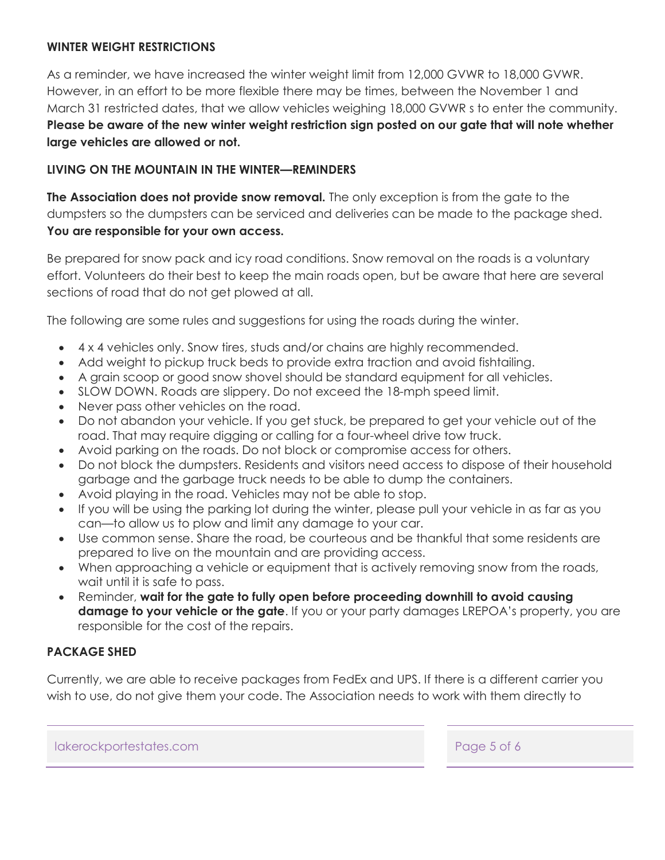#### **WINTER WEIGHT RESTRICTIONS**

As a reminder, we have increased the winter weight limit from 12,000 GVWR to 18,000 GVWR. However, in an effort to be more flexible there may be times, between the November 1 and March 31 restricted dates, that we allow vehicles weighing 18,000 GVWR s to enter the community. **Please be aware of the new winter weight restriction sign posted on our gate that will note whether large vehicles are allowed or not.** 

#### **LIVING ON THE MOUNTAIN IN THE WINTER—REMINDERS**

**The Association does not provide snow removal.** The only exception is from the gate to the dumpsters so the dumpsters can be serviced and deliveries can be made to the package shed. **You are responsible for your own access.** 

Be prepared for snow pack and icy road conditions. Snow removal on the roads is a voluntary effort. Volunteers do their best to keep the main roads open, but be aware that here are several sections of road that do not get plowed at all.

The following are some rules and suggestions for using the roads during the winter.

- 4 x 4 vehicles only. Snow tires, studs and/or chains are highly recommended.
- Add weight to pickup truck beds to provide extra traction and avoid fishtailing.
- A grain scoop or good snow shovel should be standard equipment for all vehicles.
- SLOW DOWN. Roads are slippery. Do not exceed the 18-mph speed limit.
- Never pass other vehicles on the road.
- Do not abandon your vehicle. If you get stuck, be prepared to get your vehicle out of the road. That may require digging or calling for a four-wheel drive tow truck.
- Avoid parking on the roads. Do not block or compromise access for others.
- Do not block the dumpsters. Residents and visitors need access to dispose of their household garbage and the garbage truck needs to be able to dump the containers.
- Avoid playing in the road. Vehicles may not be able to stop.
- If you will be using the parking lot during the winter, please pull your vehicle in as far as you can—to allow us to plow and limit any damage to your car.
- Use common sense. Share the road, be courteous and be thankful that some residents are prepared to live on the mountain and are providing access.
- When approaching a vehicle or equipment that is actively removing snow from the roads, wait until it is safe to pass.
- Reminder, **wait for the gate to fully open before proceeding downhill to avoid causing damage to your vehicle or the gate**. If you or your party damages LREPOA's property, you are responsible for the cost of the repairs.

#### **PACKAGE SHED**

Currently, we are able to receive packages from FedEx and UPS. If there is a different carrier you wish to use, do not give them your code. The Association needs to work with them directly to

lakerockportestates.com Page 5 of 6